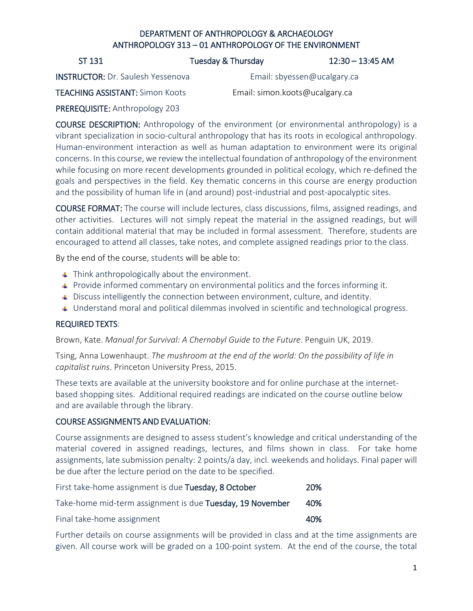### DEPARTMENT OF ANTHROPOLOGY & ARCHAEOLOGY ANTHROPOLOGY 313 – 01 ANTHROPOLOGY OF THE ENVIRONMENT

ST 131 **Tuesday & Thursday 12:30 – 13:45 AM** 

INSTRUCTOR: Dr. Saulesh Yessenova Email: [sbyessen@ucalgary.ca](mailto:sbyessen@ucalgary.ca)

TEACHING ASSISTANT: Simon Koots Email: simon.koots@ucalgary.ca

PREREQUISITE: Anthropology 203

COURSE DESCRIPTION: Anthropology of the environment (or environmental anthropology) is a vibrant specialization in socio-cultural anthropology that has its roots in ecological anthropology. Human-environment interaction as well as human adaptation to environment were its original concerns. In this course, we review the intellectual foundation of anthropology of the environment while focusing on more recent developments grounded in political ecology, which re-defined the goals and perspectives in the field. Key thematic concerns in this course are energy production and the possibility of human life in (and around) post-industrial and post-apocalyptic sites.

COURSE FORMAT: The course will include lectures, class discussions, films, assigned readings, and other activities. Lectures will not simply repeat the material in the assigned readings, but will contain additional material that may be included in formal assessment. Therefore, students are encouraged to attend all classes, take notes, and complete assigned readings prior to the class.

By the end of the course, students will be able to:

- $\ddot{\phantom{1}}$  Think anthropologically about the environment.
- Provide informed commentary on environmental politics and the forces informing it.
- $\overline{a}$  Discuss intelligently the connection between environment, culture, and identity.
- ↓ Understand moral and political dilemmas involved in scientific and technological progress.

#### REQUIRED TEXTS:

Brown, Kate. *Manual for Survival: A Chernobyl Guide to the Future*. Penguin UK, 2019.

Tsing, Anna Lowenhaupt. *The mushroom at the end of the world: On the possibility of life in capitalist ruins*. Princeton University Press, 2015.

These texts are available at the university bookstore and for online purchase at the internetbased shopping sites. Additional required readings are indicated on the course outline below and are available through the library.

#### COURSE ASSIGNMENTS AND EVALUATION:

Course assignments are designed to assess student's knowledge and critical understanding of the material covered in assigned readings, lectures, and films shown in class. For take home assignments, late submission penalty: 2 points/a day, incl. weekends and holidays. Final paper will be due after the lecture period on the date to be specified.

| First take-home assignment is due Tuesday, 8 October      | <b>20%</b> |
|-----------------------------------------------------------|------------|
| Take-home mid-term assignment is due Tuesday, 19 November | 40%        |
| Final take-home assignment                                | 40%        |

Further details on course assignments will be provided in class and at the time assignments are given. All course work will be graded on a 100-point system. At the end of the course, the total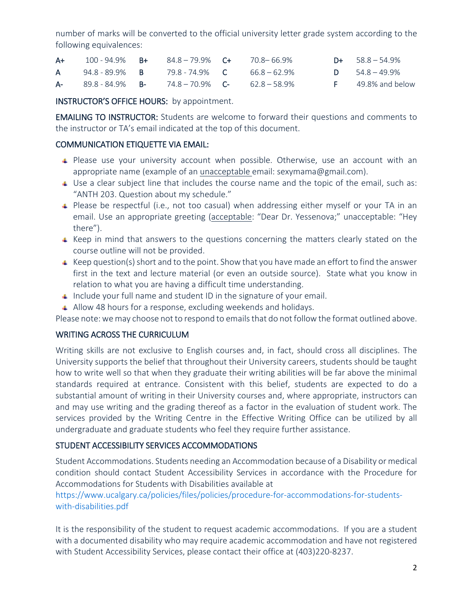number of marks will be converted to the official university letter grade system according to the following equivalences:

| $A+$ | $100 - 94.9\%$ B+      | 84.8-79.9% C+                      | 70.8— 66.9% | $D+ 58.8 - 54.9%$        |
|------|------------------------|------------------------------------|-------------|--------------------------|
| A.   | 94.8 - 89.9% B         | 79.8 - 74.9% C 66.8 – 62.9%        |             | <b>D</b> $54.8 - 49.9\%$ |
|      | $A - 89.8 - 84.9\%$ B- | $74.8 - 70.9\%$ C- $62.8 - 58.9\%$ |             | $F = 49.8\%$ and below   |

INSTRUCTOR'S OFFICE HOURS: by appointment.

EMAILING TO INSTRUCTOR: Students are welcome to forward their questions and comments to the instructor or TA's email indicated at the top of this document.

#### COMMUNICATION ETIQUETTE VIA EMAIL:

- $\uparrow$  Please use your university account when possible. Otherwise, use an account with an appropriate name (example of an unacceptable email: [sexymama@gmail.com\)](mailto:sexymama@gmail.com).
- $\overline{u}$  Use a clear subject line that includes the course name and the topic of the email, such as: "ANTH 203. Question about my schedule."
- Please be respectful (i.e., not too casual) when addressing either myself or your TA in an email. Use an appropriate greeting (acceptable: "Dear Dr. Yessenova;" unacceptable: "Hey there").
- $\overline{\phantom{a}}$  Keep in mind that answers to the questions concerning the matters clearly stated on the course outline will not be provided.
- $\uparrow$  Keep question(s) short and to the point. Show that you have made an effort to find the answer first in the text and lecture material (or even an outside source). State what you know in relation to what you are having a difficult time understanding.
- $\perp$  Include your full name and student ID in the signature of your email.
- Allow 48 hours for a response, excluding weekends and holidays.

Please note: we may choose not to respond to emails that do not follow the format outlined above.

#### WRITING ACROSS THE CURRICULUM

Writing skills are not exclusive to English courses and, in fact, should cross all disciplines. The University supports the belief that throughout their University careers, students should be taught how to write well so that when they graduate their writing abilities will be far above the minimal standards required at entrance. Consistent with this belief, students are expected to do a substantial amount of writing in their University courses and, where appropriate, instructors can and may use writing and the grading thereof as a factor in the evaluation of student work. The services provided by the Writing Centre in the Effective Writing Office can be utilized by all undergraduate and graduate students who feel they require further assistance.

#### STUDENT ACCESSIBILITY SERVICES ACCOMMODATIONS

Student Accommodations. Students needing an Accommodation because of a Disability or medical condition should contact Student Accessibility Services in accordance with the Procedure for Accommodations for Students with Disabilities available at

#### [https://www.ucalgary.ca/policies/files/policies/procedure-for-accommodations-for-students](https://www.ucalgary.ca/policies/files/policies/procedure-for-accommodations-for-students-with-disabilities.pdf)[with-disabilities.pdf](https://www.ucalgary.ca/policies/files/policies/procedure-for-accommodations-for-students-with-disabilities.pdf)

It is the responsibility of the student to request academic accommodations. If you are a student with a documented disability who may require academic accommodation and have not registered with Student Accessibility Services, please contact their office at (403)220-8237.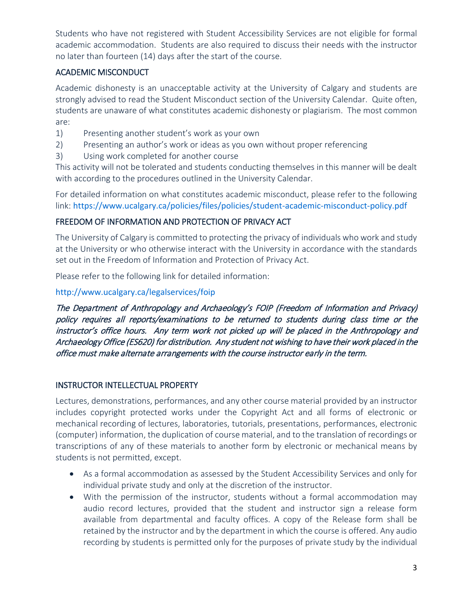Students who have not registered with Student Accessibility Services are not eligible for formal academic accommodation. Students are also required to discuss their needs with the instructor no later than fourteen (14) days after the start of the course.

### ACADEMIC MISCONDUCT

Academic dishonesty is an unacceptable activity at the University of Calgary and students are strongly advised to read the Student Misconduct section of the University Calendar. Quite often, students are unaware of what constitutes academic dishonesty or plagiarism. The most common are:

- 1) Presenting another student's work as your own
- 2) Presenting an author's work or ideas as you own without proper referencing
- 3) Using work completed for another course

This activity will not be tolerated and students conducting themselves in this manner will be dealt with according to the procedures outlined in the University Calendar.

For detailed information on what constitutes academic misconduct, please refer to the following link: <https://www.ucalgary.ca/policies/files/policies/student-academic-misconduct-policy.pdf>

### FREEDOM OF INFORMATION AND PROTECTION OF PRIVACY ACT

The University of Calgary is committed to protecting the privacy of individuals who work and study at the University or who otherwise interact with the University in accordance with the standards set out in the Freedom of Information and Protection of Privacy Act.

Please refer to the following link for detailed information:

<http://www.ucalgary.ca/legalservices/foip>

The Department of Anthropology and Archaeology's FOIP (Freedom of Information and Privacy) policy requires all reports/examinations to be returned to students during class time or the instructor's office hours. Any term work not picked up will be placed in the Anthropology and Archaeology Office (ES620) for distribution. Any student not wishing to have their work placed in the office must make alternate arrangements with the course instructor early in the term.

#### INSTRUCTOR INTELLECTUAL PROPERTY

Lectures, demonstrations, performances, and any other course material provided by an instructor includes copyright protected works under the Copyright Act and all forms of electronic or mechanical recording of lectures, laboratories, tutorials, presentations, performances, electronic (computer) information, the duplication of course material, and to the translation of recordings or transcriptions of any of these materials to another form by electronic or mechanical means by students is not permitted, except.

- As a formal accommodation as assessed by the Student Accessibility Services and only for individual private study and only at the discretion of the instructor.
- With the permission of the instructor, students without a formal accommodation may audio record lectures, provided that the student and instructor sign a release form available from departmental and faculty offices. A copy of the Release form shall be retained by the instructor and by the department in which the course is offered. Any audio recording by students is permitted only for the purposes of private study by the individual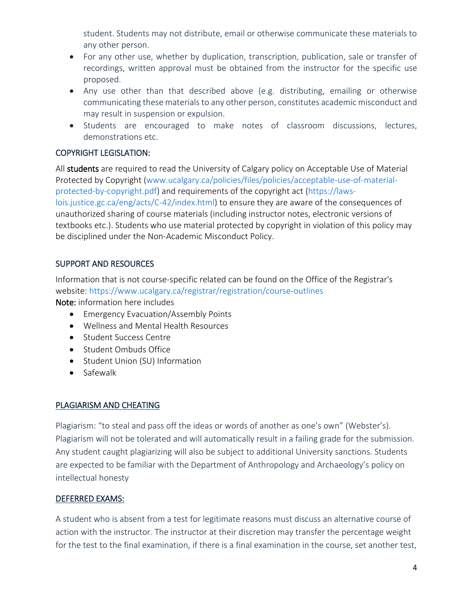student. Students may not distribute, email or otherwise communicate these materials to any other person.

- For any other use, whether by duplication, transcription, publication, sale or transfer of recordings, written approval must be obtained from the instructor for the specific use proposed.
- Any use other than that described above (e.g. distributing, emailing or otherwise communicating these materials to any other person, constitutes academic misconduct and may result in suspension or expulsion.
- Students are encouraged to make notes of classroom discussions, lectures, demonstrations etc.

### COPYRIGHT LEGISLATION:

All students are required to read the University of Calgary policy on Acceptable Use of Material Protected by Copyright [\(www.ucalgary.ca/policies/files/policies/acceptable-use-of-material](http://www.ucalgary.ca/policies/files/policies/acceptable-use-of-material-protected-by-copyright.pdf)[protected-by-copyright.pdf\)](http://www.ucalgary.ca/policies/files/policies/acceptable-use-of-material-protected-by-copyright.pdf) and requirements of the copyright act [\(https://laws](https://laws-lois.justice.gc.ca/eng/acts/C-42/index.html)[lois.justice.gc.ca/eng/acts/C-42/index.html\)](https://laws-lois.justice.gc.ca/eng/acts/C-42/index.html) to ensure they are aware of the consequences of unauthorized sharing of course materials (including instructor notes, electronic versions of textbooks etc.). Students who use material protected by copyright in violation of this policy may be disciplined under the Non-Academic Misconduct Policy.

### SUPPORT AND RESOURCES

Information that is not course-specific related can be found on the Office of the Registrar's website:<https://www.ucalgary.ca/registrar/registration/course-outlines>

Note: information here includes

- Emergency Evacuation/Assembly Points
- Wellness and Mental Health Resources
- Student Success Centre
- Student Ombuds Office
- Student Union (SU) Information
- Safewalk

#### PLAGIARISM AND CHEATING

Plagiarism: "to steal and pass off the ideas or words of another as one's own" (Webster's). Plagiarism will not be tolerated and will automatically result in a failing grade for the submission. Any student caught plagiarizing will also be subject to additional University sanctions. Students are expected to be familiar with the Department of Anthropology and Archaeology's policy on intellectual honesty

### DEFERRED EXAMS:

A student who is absent from a test for legitimate reasons must discuss an alternative course of action with the instructor. The instructor at their discretion may transfer the percentage weight for the test to the final examination, if there is a final examination in the course, set another test,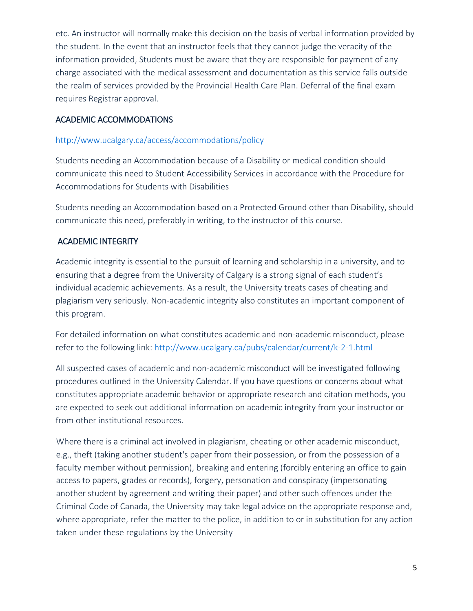etc. An instructor will normally make this decision on the basis of verbal information provided by the student. In the event that an instructor feels that they cannot judge the veracity of the information provided, Students must be aware that they are responsible for payment of any charge associated with the medical assessment and documentation as this service falls outside the realm of services provided by the Provincial Health Care Plan. Deferral of the final exam requires Registrar approval.

### ACADEMIC ACCOMMODATIONS

### <http://www.ucalgary.ca/access/accommodations/policy>

Students needing an Accommodation because of a Disability or medical condition should communicate this need to Student Accessibility Services in accordance with the Procedure for Accommodations for Students with Disabilities

Students needing an Accommodation based on a Protected Ground other than Disability, should communicate this need, preferably in writing, to the instructor of this course.

### ACADEMIC INTEGRITY

Academic integrity is essential to the pursuit of learning and scholarship in a university, and to ensuring that a degree from the University of Calgary is a strong signal of each student's individual academic achievements. As a result, the University treats cases of cheating and plagiarism very seriously. Non-academic integrity also constitutes an important component of this program.

For detailed information on what constitutes academic and non-academic misconduct, please refer to the following link:<http://www.ucalgary.ca/pubs/calendar/current/k-2-1.html>

All suspected cases of academic and non-academic misconduct will be investigated following procedures outlined in the University Calendar. If you have questions or concerns about what constitutes appropriate academic behavior or appropriate research and citation methods, you are expected to seek out additional information on academic integrity from your instructor or from other institutional resources.

Where there is a criminal act involved in plagiarism, cheating or other academic misconduct, e.g., theft (taking another student's paper from their possession, or from the possession of a faculty member without permission), breaking and entering (forcibly entering an office to gain access to papers, grades or records), forgery, personation and conspiracy (impersonating another student by agreement and writing their paper) and other such offences under the Criminal Code of Canada, the University may take legal advice on the appropriate response and, where appropriate, refer the matter to the police, in addition to or in substitution for any action taken under these regulations by the University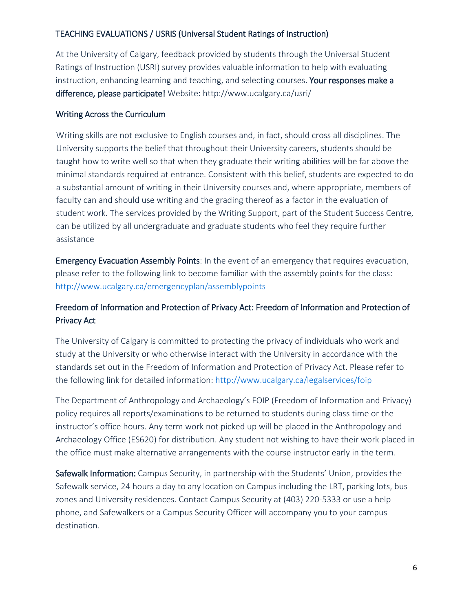## TEACHING EVALUATIONS / USRIS (Universal Student Ratings of Instruction)

At the University of Calgary, feedback provided by students through the Universal Student Ratings of Instruction (USRI) survey provides valuable information to help with evaluating instruction, enhancing learning and teaching, and selecting courses. Your responses make a difference, please participate! Website: http://www.ucalgary.ca/usri/

### Writing Across the Curriculum

Writing skills are not exclusive to English courses and, in fact, should cross all disciplines. The University supports the belief that throughout their University careers, students should be taught how to write well so that when they graduate their writing abilities will be far above the minimal standards required at entrance. Consistent with this belief, students are expected to do a substantial amount of writing in their University courses and, where appropriate, members of faculty can and should use writing and the grading thereof as a factor in the evaluation of student work. The services provided by the Writing Support, part of the Student Success Centre, can be utilized by all undergraduate and graduate students who feel they require further assistance

Emergency Evacuation Assembly Points: In the event of an emergency that requires evacuation, please refer to the following link to become familiar with the assembly points for the class: <http://www.ucalgary.ca/emergencyplan/assemblypoints>

# Freedom of Information and Protection of Privacy Act: Freedom of Information and Protection of Privacy Act

The University of Calgary is committed to protecting the privacy of individuals who work and study at the University or who otherwise interact with the University in accordance with the standards set out in the Freedom of Information and Protection of Privacy Act. Please refer to the following link for detailed information:<http://www.ucalgary.ca/legalservices/foip>

The Department of Anthropology and Archaeology's FOIP (Freedom of Information and Privacy) policy requires all reports/examinations to be returned to students during class time or the instructor's office hours. Any term work not picked up will be placed in the Anthropology and Archaeology Office (ES620) for distribution. Any student not wishing to have their work placed in the office must make alternative arrangements with the course instructor early in the term.

Safewalk Information: Campus Security, in partnership with the Students' Union, provides the Safewalk service, 24 hours a day to any location on Campus including the LRT, parking lots, bus zones and University residences. Contact Campus Security at (403) 220-5333 or use a help phone, and Safewalkers or a Campus Security Officer will accompany you to your campus destination.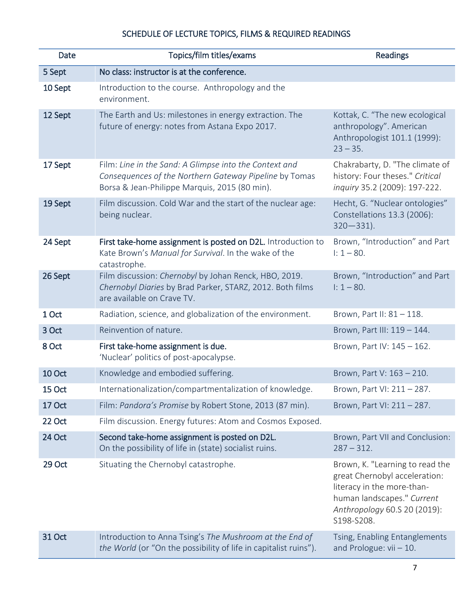# SCHEDULE OF LECTURE TOPICS, FILMS & REQUIRED READINGS

| Date          | Topics/film titles/exams                                                                                                                                          | <b>Readings</b>                                                                                                                                                            |
|---------------|-------------------------------------------------------------------------------------------------------------------------------------------------------------------|----------------------------------------------------------------------------------------------------------------------------------------------------------------------------|
| 5 Sept        | No class: instructor is at the conference.                                                                                                                        |                                                                                                                                                                            |
| 10 Sept       | Introduction to the course. Anthropology and the<br>environment.                                                                                                  |                                                                                                                                                                            |
| 12 Sept       | The Earth and Us: milestones in energy extraction. The<br>future of energy: notes from Astana Expo 2017.                                                          | Kottak, C. "The new ecological<br>anthropology". American<br>Anthropologist 101.1 (1999):<br>$23 - 35.$                                                                    |
| 17 Sept       | Film: Line in the Sand: A Glimpse into the Context and<br>Consequences of the Northern Gateway Pipeline by Tomas<br>Borsa & Jean-Philippe Marquis, 2015 (80 min). | Chakrabarty, D. "The climate of<br>history: Four theses." Critical<br>inquiry 35.2 (2009): 197-222.                                                                        |
| 19 Sept       | Film discussion. Cold War and the start of the nuclear age:<br>being nuclear.                                                                                     | Hecht, G. "Nuclear ontologies"<br>Constellations 13.3 (2006):<br>$320 - 331$ ).                                                                                            |
| 24 Sept       | First take-home assignment is posted on D2L. Introduction to<br>Kate Brown's Manual for Survival. In the wake of the<br>catastrophe.                              | Brown, "Introduction" and Part<br>$1: 1 - 80.$                                                                                                                             |
| 26 Sept       | Film discussion: Chernobyl by Johan Renck, HBO, 2019.<br>Chernobyl Diaries by Brad Parker, STARZ, 2012. Both films<br>are available on Crave TV.                  | Brown, "Introduction" and Part<br>$1: 1 - 80.$                                                                                                                             |
| 1 Oct         | Radiation, science, and globalization of the environment.                                                                                                         | Brown, Part II: 81 - 118.                                                                                                                                                  |
| 3 Oct         | Reinvention of nature.                                                                                                                                            | Brown, Part III: 119 - 144.                                                                                                                                                |
| 8 Oct         | First take-home assignment is due.<br>'Nuclear' politics of post-apocalypse.                                                                                      | Brown, Part IV: 145 - 162.                                                                                                                                                 |
| <b>10 Oct</b> | Knowledge and embodied suffering.                                                                                                                                 | Brown, Part V: 163 - 210.                                                                                                                                                  |
| 15 Oct        | Internationalization/compartmentalization of knowledge.                                                                                                           | Brown, Part VI: 211 - 287.                                                                                                                                                 |
| 17 Oct        | Film: Pandora's Promise by Robert Stone, 2013 (87 min).                                                                                                           | Brown, Part VI: 211 - 287.                                                                                                                                                 |
| 22 Oct        | Film discussion. Energy futures: Atom and Cosmos Exposed.                                                                                                         |                                                                                                                                                                            |
| 24 Oct        | Second take-home assignment is posted on D2L.<br>On the possibility of life in (state) socialist ruins.                                                           | Brown, Part VII and Conclusion:<br>$287 - 312.$                                                                                                                            |
| 29 Oct        | Situating the Chernobyl catastrophe.                                                                                                                              | Brown, K. "Learning to read the<br>great Chernobyl acceleration:<br>literacy in the more-than-<br>human landscapes." Current<br>Anthropology 60.S 20 (2019):<br>S198-S208. |
| <b>31 Oct</b> | Introduction to Anna Tsing's The Mushroom at the End of<br>the World (or "On the possibility of life in capitalist ruins").                                       | Tsing, Enabling Entanglements<br>and Prologue: $vi - 10$ .                                                                                                                 |